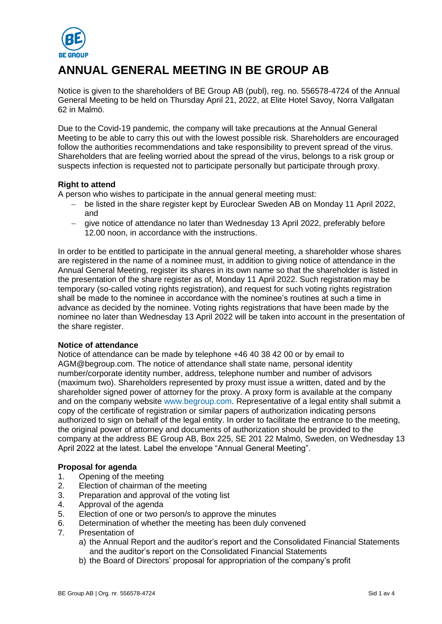

# **ANNUAL GENERAL MEETING IN BE GROUP AB**

Notice is given to the shareholders of BE Group AB (publ), reg. no. 556578-4724 of the Annual General Meeting to be held on Thursday April 21, 2022, at Elite Hotel Savoy, Norra Vallgatan 62 in Malmö.

Due to the Covid-19 pandemic, the company will take precautions at the Annual General Meeting to be able to carry this out with the lowest possible risk. Shareholders are encouraged follow the authorities recommendations and take responsibility to prevent spread of the virus. Shareholders that are feeling worried about the spread of the virus, belongs to a risk group or suspects infection is requested not to participate personally but participate through proxy.

# **Right to attend**

A person who wishes to participate in the annual general meeting must:

- − be listed in the share register kept by Euroclear Sweden AB on Monday 11 April 2022, and
- − give notice of attendance no later than Wednesday 13 April 2022, preferably before 12.00 noon, in accordance with the instructions.

In order to be entitled to participate in the annual general meeting, a shareholder whose shares are registered in the name of a nominee must, in addition to giving notice of attendance in the Annual General Meeting, register its shares in its own name so that the shareholder is listed in the presentation of the share register as of, Monday 11 April 2022. Such registration may be temporary (so-called voting rights registration), and request for such voting rights registration shall be made to the nominee in accordance with the nominee's routines at such a time in advance as decided by the nominee. Voting rights registrations that have been made by the nominee no later than Wednesday 13 April 2022 will be taken into account in the presentation of the share register.

# **Notice of attendance**

Notice of attendance can be made by telephone +46 40 38 42 00 or by email to AGM@begroup.com. The notice of attendance shall state name, personal identity number/corporate identity number, address, telephone number and number of advisors (maximum two). Shareholders represented by proxy must issue a written, dated and by the shareholder signed power of attorney for the proxy. A proxy form is available at the company and on the company website [www.begroup.com.](http://www.begroup.com/) Representative of a legal entity shall submit a copy of the certificate of registration or similar papers of authorization indicating persons authorized to sign on behalf of the legal entity. In order to facilitate the entrance to the meeting, the original power of attorney and documents of authorization should be provided to the company at the address BE Group AB, Box 225, SE 201 22 Malmö, Sweden, on Wednesday 13 April 2022 at the latest. Label the envelope "Annual General Meeting".

# **Proposal for agenda**

- 1. Opening of the meeting
- 2. Election of chairman of the meeting
- 3. Preparation and approval of the voting list
- 4. Approval of the agenda
- 5. Election of one or two person/s to approve the minutes
- 6. Determination of whether the meeting has been duly convened
- 7. Presentation of
	- a) the Annual Report and the auditor's report and the Consolidated Financial Statements and the auditor's report on the Consolidated Financial Statements
	- b) the Board of Directors' proposal for appropriation of the company's profit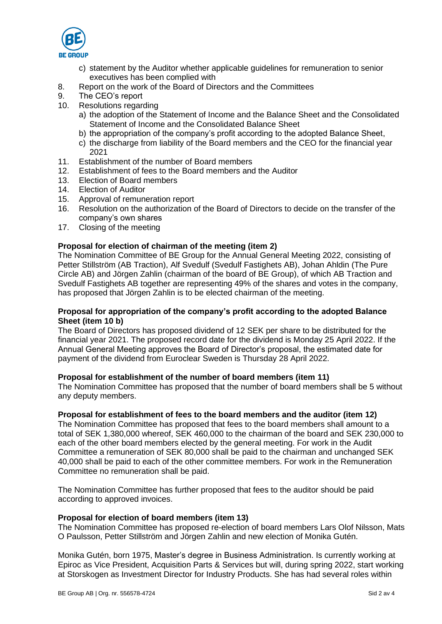

- c) statement by the Auditor whether applicable guidelines for remuneration to senior executives has been complied with
- 8. Report on the work of the Board of Directors and the Committees
- 9. The CEO's report
- 10. Resolutions regarding
	- a) the adoption of the Statement of Income and the Balance Sheet and the Consolidated Statement of Income and the Consolidated Balance Sheet
	- b) the appropriation of the company's profit according to the adopted Balance Sheet,
	- c) the discharge from liability of the Board members and the CEO for the financial year 2021
- 11. Establishment of the number of Board members
- 12. Establishment of fees to the Board members and the Auditor
- 13. Election of Board members
- 14. Election of Auditor
- 15. Approval of remuneration report
- 16. Resolution on the authorization of the Board of Directors to decide on the transfer of the company's own shares
- 17. Closing of the meeting

## **Proposal for election of chairman of the meeting (item 2)**

The Nomination Committee of BE Group for the Annual General Meeting 2022, consisting of Petter Stillström (AB Traction), Alf Svedulf (Svedulf Fastighets AB), Johan Ahldin (The Pure Circle AB) and Jörgen Zahlin (chairman of the board of BE Group), of which AB Traction and Svedulf Fastighets AB together are representing 49% of the shares and votes in the company, has proposed that Jörgen Zahlin is to be elected chairman of the meeting.

## **Proposal for appropriation of the company's profit according to the adopted Balance Sheet (item 10 b)**

The Board of Directors has proposed dividend of 12 SEK per share to be distributed for the financial year 2021. The proposed record date for the dividend is Monday 25 April 2022. If the Annual General Meeting approves the Board of Director's proposal, the estimated date for payment of the dividend from Euroclear Sweden is Thursday 28 April 2022.

#### **Proposal for establishment of the number of board members (item 11)**

The Nomination Committee has proposed that the number of board members shall be 5 without any deputy members.

#### **Proposal for establishment of fees to the board members and the auditor (item 12)**

The Nomination Committee has proposed that fees to the board members shall amount to a total of SEK 1,380,000 whereof, SEK 460,000 to the chairman of the board and SEK 230,000 to each of the other board members elected by the general meeting. For work in the Audit Committee a remuneration of SEK 80,000 shall be paid to the chairman and unchanged SEK 40,000 shall be paid to each of the other committee members. For work in the Remuneration Committee no remuneration shall be paid.

The Nomination Committee has further proposed that fees to the auditor should be paid according to approved invoices.

#### **Proposal for election of board members (item 13)**

The Nomination Committee has proposed re-election of board members Lars Olof Nilsson, Mats O Paulsson, Petter Stillström and Jörgen Zahlin and new election of Monika Gutén.

Monika Gutén, born 1975, Master's degree in Business Administration. Is currently working at Epiroc as Vice President, Acquisition Parts & Services but will, during spring 2022, start working at Storskogen as Investment Director for Industry Products. She has had several roles within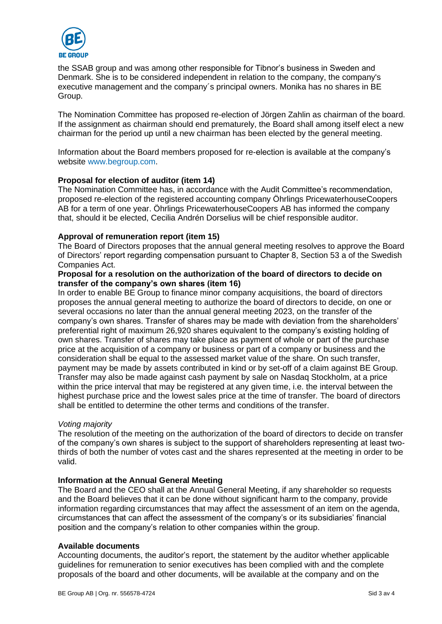

the SSAB group and was among other responsible for Tibnor's business in Sweden and Denmark. She is to be considered independent in relation to the company, the company's executive management and the company´s principal owners. Monika has no shares in BE Group.

The Nomination Committee has proposed re-election of Jörgen Zahlin as chairman of the board. If the assignment as chairman should end prematurely, the Board shall among itself elect a new chairman for the period up until a new chairman has been elected by the general meeting.

Information about the Board members proposed for re-election is available at the company's website [www.begroup.com.](http://www.begroup.com/)

## **Proposal for election of auditor (item 14)**

The Nomination Committee has, in accordance with the Audit Committee's recommendation, proposed re-election of the registered accounting company Öhrlings PricewaterhouseCoopers AB for a term of one year. Öhrlings PricewaterhouseCoopers AB has informed the company that, should it be elected, Cecilia Andrén Dorselius will be chief responsible auditor.

## **Approval of remuneration report (item 15)**

The Board of Directors proposes that the annual general meeting resolves to approve the Board of Directors' report regarding compensation pursuant to Chapter 8, Section 53 a of the Swedish Companies Act.

#### **Proposal for a resolution on the authorization of the board of directors to decide on transfer of the company's own shares (item 16)**

In order to enable BE Group to finance minor company acquisitions, the board of directors proposes the annual general meeting to authorize the board of directors to decide, on one or several occasions no later than the annual general meeting 2023, on the transfer of the company's own shares. Transfer of shares may be made with deviation from the shareholders' preferential right of maximum 26,920 shares equivalent to the company's existing holding of own shares. Transfer of shares may take place as payment of whole or part of the purchase price at the acquisition of a company or business or part of a company or business and the consideration shall be equal to the assessed market value of the share. On such transfer, payment may be made by assets contributed in kind or by set-off of a claim against BE Group. Transfer may also be made against cash payment by sale on Nasdaq Stockholm, at a price within the price interval that may be registered at any given time, i.e. the interval between the highest purchase price and the lowest sales price at the time of transfer. The board of directors shall be entitled to determine the other terms and conditions of the transfer.

#### *Voting majority*

The resolution of the meeting on the authorization of the board of directors to decide on transfer of the company's own shares is subject to the support of shareholders representing at least twothirds of both the number of votes cast and the shares represented at the meeting in order to be valid.

# **Information at the Annual General Meeting**

The Board and the CEO shall at the Annual General Meeting, if any shareholder so requests and the Board believes that it can be done without significant harm to the company, provide information regarding circumstances that may affect the assessment of an item on the agenda, circumstances that can affect the assessment of the company's or its subsidiaries' financial position and the company's relation to other companies within the group.

#### **Available documents**

Accounting documents, the auditor's report, the statement by the auditor whether applicable guidelines for remuneration to senior executives has been complied with and the complete proposals of the board and other documents, will be available at the company and on the